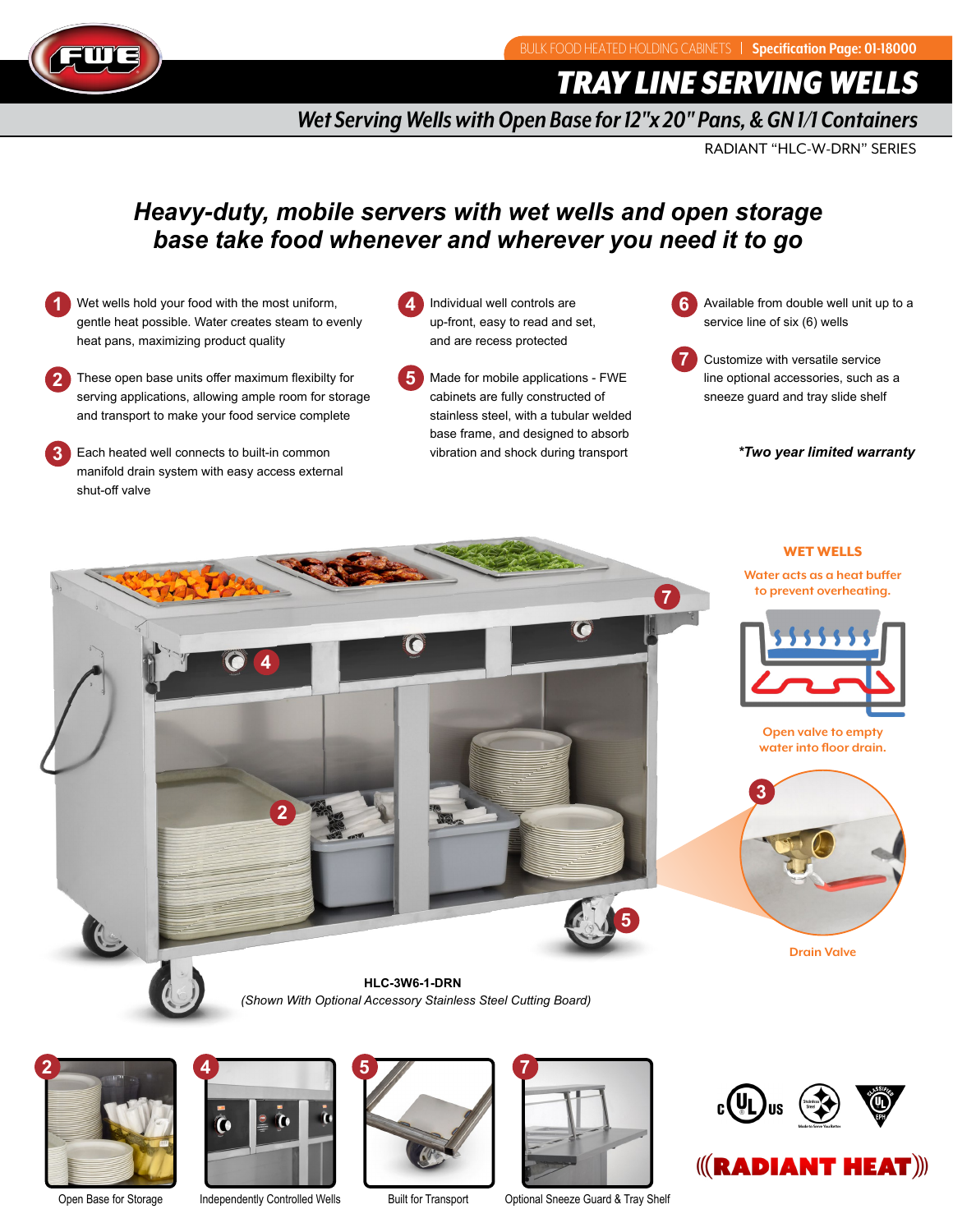

*TRAY LINE SERVING WELLS*

*Wet Serving Wells with Open Base for 12"x 20" Pans, & GN 1/1 Containers*

RADIANT "HLC-W-DRN" SERIES

# *Heavy-duty, mobile servers with wet wells and open storage base take food whenever and wherever you need it to go*

- **1** Wet wells hold your food with the most uniform, **4** gentle heat possible. Water creates steam to evenly heat pans, maximizing product quality
- **2** These open base units offer maximum flexibilty for **5** serving applications, allowing ample room for storage and transport to make your food service complete
- **3** Each heated well connects to built-in common manifold drain system with easy access external shut-off valve
- Individual well controls are up-front, easy to read and set, and are recess protected
- Made for mobile applications FWE cabinets are fully constructed of stainless steel, with a tubular welded base frame, and designed to absorb vibration and shock during transport
- **6** Available from double well unit up to a service line of six (6) wells
- **7** Customize with versatile service line optional accessories, such as a sneeze guard and tray slide shelf

 *\*Two year limited warranty*

### WET WELLS

**Water acts as a heat buffer to prevent overheating.**



**Open valve to empty water into floor drain.**



**Drain Valve**

**2 4 5 7 HLC-3W6-1-DRN**





*(Shown With Optional Accessory Stainless Steel Cutting Board)*



Open Base for Storage Independently Controlled Wells Built for Transport Optional Sneeze Guard & Tray Shelf